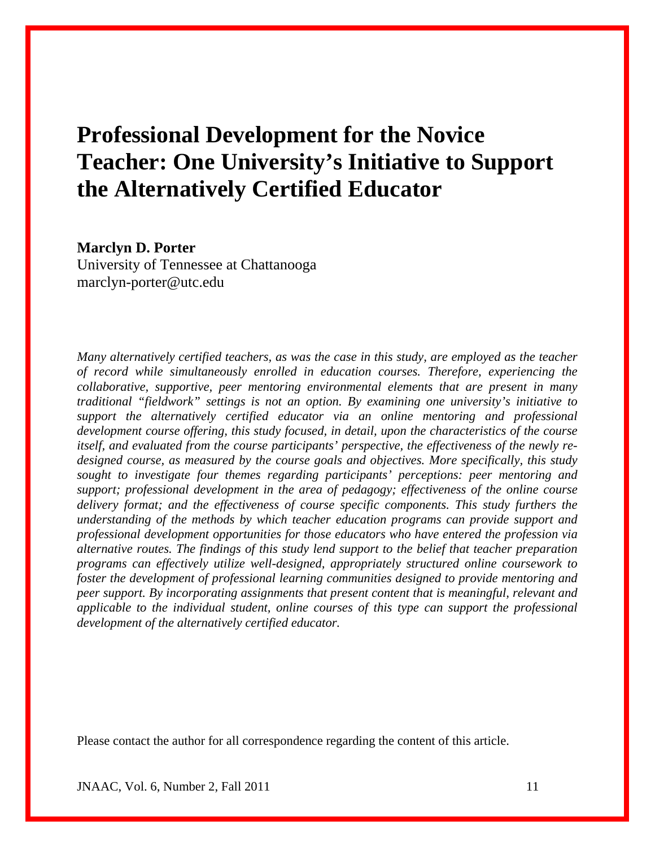# **Professional Development for the Novice Teacher: One University's Initiative to Support the Alternatively Certified Educator**

# **Marclyn D. Porter**

University of Tennessee at Chattanooga marclyn-porter@utc.edu

*Many alternatively certified teachers, as was the case in this study, are employed as the teacher of record while simultaneously enrolled in education courses. Therefore, experiencing the collaborative, supportive, peer mentoring environmental elements that are present in many traditional "fieldwork" settings is not an option. By examining one university's initiative to support the alternatively certified educator via an online mentoring and professional development course offering, this study focused, in detail, upon the characteristics of the course itself, and evaluated from the course participants' perspective, the effectiveness of the newly redesigned course, as measured by the course goals and objectives. More specifically, this study sought to investigate four themes regarding participants' perceptions: peer mentoring and support; professional development in the area of pedagogy; effectiveness of the online course delivery format; and the effectiveness of course specific components. This study furthers the understanding of the methods by which teacher education programs can provide support and professional development opportunities for those educators who have entered the profession via alternative routes. The findings of this study lend support to the belief that teacher preparation programs can effectively utilize well-designed, appropriately structured online coursework to foster the development of professional learning communities designed to provide mentoring and peer support. By incorporating assignments that present content that is meaningful, relevant and applicable to the individual student, online courses of this type can support the professional development of the alternatively certified educator.* 

Please contact the author for all correspondence regarding the content of this article.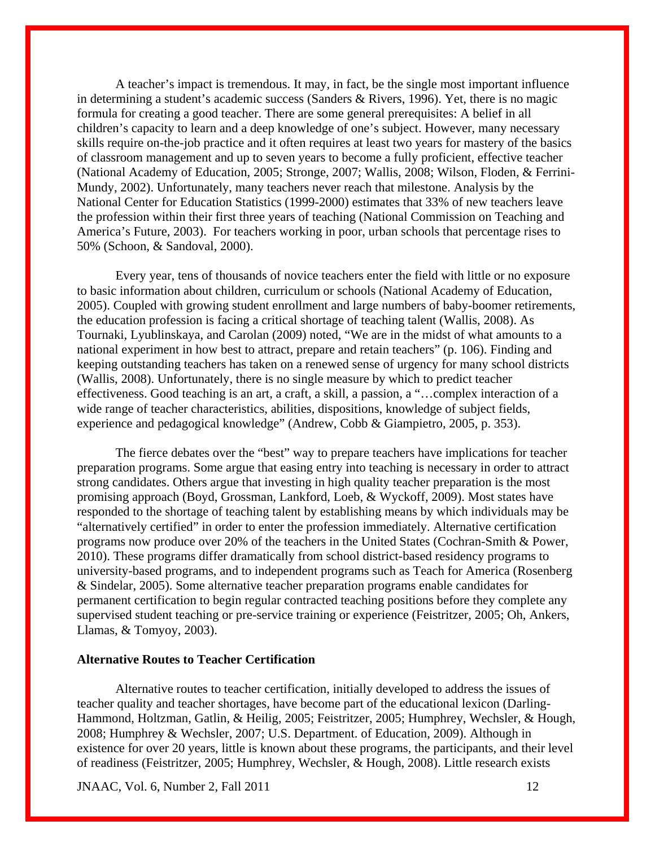A teacher's impact is tremendous. It may, in fact, be the single most important influence in determining a student's academic success (Sanders & Rivers, 1996). Yet, there is no magic formula for creating a good teacher. There are some general prerequisites: A belief in all children's capacity to learn and a deep knowledge of one's subject. However, many necessary skills require on-the-job practice and it often requires at least two years for mastery of the basics of classroom management and up to seven years to become a fully proficient, effective teacher (National Academy of Education, 2005; Stronge, 2007; Wallis, 2008; Wilson, Floden, & Ferrini-Mundy, 2002). Unfortunately, many teachers never reach that milestone. Analysis by the National Center for Education Statistics (1999-2000) estimates that 33% of new teachers leave the profession within their first three years of teaching (National Commission on Teaching and America's Future, 2003). For teachers working in poor, urban schools that percentage rises to 50% (Schoon, & Sandoval, 2000).

 Every year, tens of thousands of novice teachers enter the field with little or no exposure to basic information about children, curriculum or schools (National Academy of Education, 2005). Coupled with growing student enrollment and large numbers of baby-boomer retirements, the education profession is facing a critical shortage of teaching talent (Wallis, 2008). As Tournaki, Lyublinskaya, and Carolan (2009) noted, "We are in the midst of what amounts to a national experiment in how best to attract, prepare and retain teachers" (p. 106). Finding and keeping outstanding teachers has taken on a renewed sense of urgency for many school districts (Wallis, 2008). Unfortunately, there is no single measure by which to predict teacher effectiveness. Good teaching is an art, a craft, a skill, a passion, a "…complex interaction of a wide range of teacher characteristics, abilities, dispositions, knowledge of subject fields, experience and pedagogical knowledge" (Andrew, Cobb & Giampietro, 2005, p. 353).

 The fierce debates over the "best" way to prepare teachers have implications for teacher preparation programs. Some argue that easing entry into teaching is necessary in order to attract strong candidates. Others argue that investing in high quality teacher preparation is the most promising approach (Boyd, Grossman, Lankford, Loeb, & Wyckoff, 2009). Most states have responded to the shortage of teaching talent by establishing means by which individuals may be "alternatively certified" in order to enter the profession immediately. Alternative certification programs now produce over 20% of the teachers in the United States (Cochran-Smith & Power, 2010). These programs differ dramatically from school district-based residency programs to university-based programs, and to independent programs such as Teach for America (Rosenberg & Sindelar, 2005). Some alternative teacher preparation programs enable candidates for permanent certification to begin regular contracted teaching positions before they complete any supervised student teaching or pre-service training or experience (Feistritzer, 2005; Oh, Ankers, Llamas, & Tomyoy, 2003).

# **Alternative Routes to Teacher Certification**

 Alternative routes to teacher certification, initially developed to address the issues of teacher quality and teacher shortages, have become part of the educational lexicon (Darling-Hammond, Holtzman, Gatlin, & Heilig, 2005; Feistritzer, 2005; Humphrey, Wechsler, & Hough, 2008; Humphrey & Wechsler, 2007; U.S. Department. of Education, 2009). Although in existence for over 20 years, little is known about these programs, the participants, and their level of readiness (Feistritzer, 2005; Humphrey, Wechsler, & Hough, 2008). Little research exists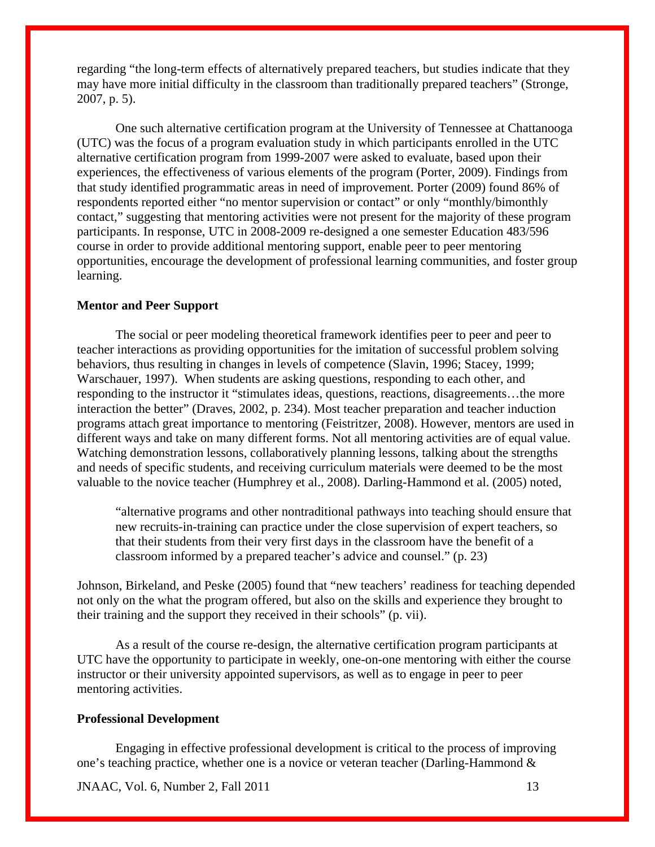regarding "the long-term effects of alternatively prepared teachers, but studies indicate that they may have more initial difficulty in the classroom than traditionally prepared teachers" (Stronge, 2007, p. 5).

 One such alternative certification program at the University of Tennessee at Chattanooga (UTC) was the focus of a program evaluation study in which participants enrolled in the UTC alternative certification program from 1999-2007 were asked to evaluate, based upon their experiences, the effectiveness of various elements of the program (Porter, 2009). Findings from that study identified programmatic areas in need of improvement. Porter (2009) found 86% of respondents reported either "no mentor supervision or contact" or only "monthly/bimonthly contact," suggesting that mentoring activities were not present for the majority of these program participants. In response, UTC in 2008-2009 re-designed a one semester Education 483/596 course in order to provide additional mentoring support, enable peer to peer mentoring opportunities, encourage the development of professional learning communities, and foster group learning.

## **Mentor and Peer Support**

 The social or peer modeling theoretical framework identifies peer to peer and peer to teacher interactions as providing opportunities for the imitation of successful problem solving behaviors, thus resulting in changes in levels of competence (Slavin, 1996; Stacey, 1999; Warschauer, 1997). When students are asking questions, responding to each other, and responding to the instructor it "stimulates ideas, questions, reactions, disagreements…the more interaction the better" (Draves, 2002, p. 234). Most teacher preparation and teacher induction programs attach great importance to mentoring (Feistritzer, 2008). However, mentors are used in different ways and take on many different forms. Not all mentoring activities are of equal value. Watching demonstration lessons, collaboratively planning lessons, talking about the strengths and needs of specific students, and receiving curriculum materials were deemed to be the most valuable to the novice teacher (Humphrey et al., 2008). Darling-Hammond et al. (2005) noted,

"alternative programs and other nontraditional pathways into teaching should ensure that new recruits-in-training can practice under the close supervision of expert teachers, so that their students from their very first days in the classroom have the benefit of a classroom informed by a prepared teacher's advice and counsel." (p. 23)

Johnson, Birkeland, and Peske (2005) found that "new teachers' readiness for teaching depended not only on the what the program offered, but also on the skills and experience they brought to their training and the support they received in their schools" (p. vii).

 As a result of the course re-design, the alternative certification program participants at UTC have the opportunity to participate in weekly, one-on-one mentoring with either the course instructor or their university appointed supervisors, as well as to engage in peer to peer mentoring activities.

#### **Professional Development**

Engaging in effective professional development is critical to the process of improving one's teaching practice, whether one is a novice or veteran teacher (Darling-Hammond &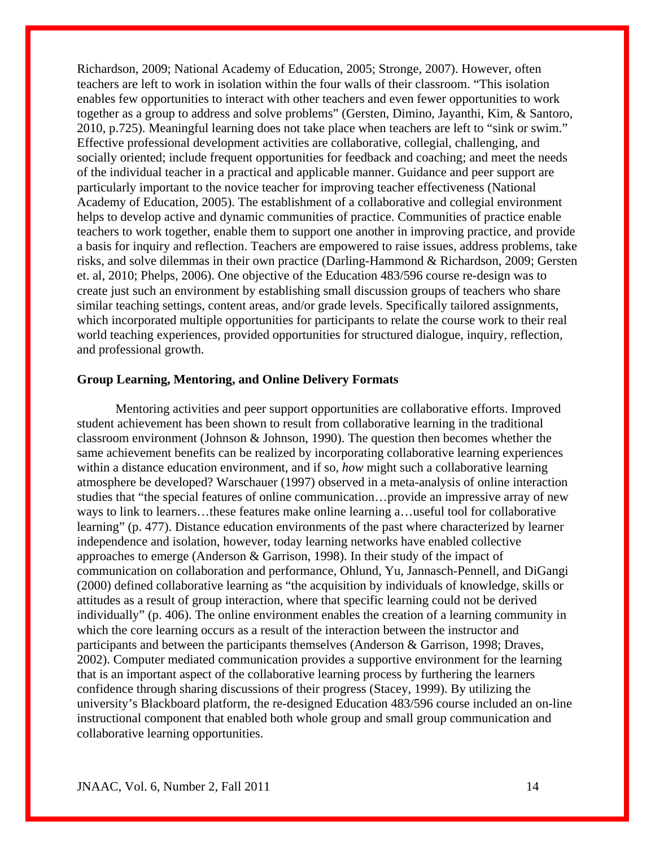Richardson, 2009; National Academy of Education, 2005; Stronge, 2007). However, often teachers are left to work in isolation within the four walls of their classroom. "This isolation enables few opportunities to interact with other teachers and even fewer opportunities to work together as a group to address and solve problems" (Gersten, Dimino, Jayanthi, Kim, & Santoro, 2010, p.725). Meaningful learning does not take place when teachers are left to "sink or swim." Effective professional development activities are collaborative, collegial, challenging, and socially oriented; include frequent opportunities for feedback and coaching; and meet the needs of the individual teacher in a practical and applicable manner. Guidance and peer support are particularly important to the novice teacher for improving teacher effectiveness (National Academy of Education, 2005). The establishment of a collaborative and collegial environment helps to develop active and dynamic communities of practice. Communities of practice enable teachers to work together, enable them to support one another in improving practice, and provide a basis for inquiry and reflection. Teachers are empowered to raise issues, address problems, take risks, and solve dilemmas in their own practice (Darling-Hammond & Richardson, 2009; Gersten et. al, 2010; Phelps, 2006). One objective of the Education 483/596 course re-design was to create just such an environment by establishing small discussion groups of teachers who share similar teaching settings, content areas, and/or grade levels. Specifically tailored assignments, which incorporated multiple opportunities for participants to relate the course work to their real world teaching experiences, provided opportunities for structured dialogue, inquiry, reflection, and professional growth.

#### **Group Learning, Mentoring, and Online Delivery Formats**

 Mentoring activities and peer support opportunities are collaborative efforts. Improved student achievement has been shown to result from collaborative learning in the traditional classroom environment (Johnson & Johnson, 1990). The question then becomes whether the same achievement benefits can be realized by incorporating collaborative learning experiences within a distance education environment, and if so, *how* might such a collaborative learning atmosphere be developed? Warschauer (1997) observed in a meta-analysis of online interaction studies that "the special features of online communication…provide an impressive array of new ways to link to learners…these features make online learning a…useful tool for collaborative learning" (p. 477). Distance education environments of the past where characterized by learner independence and isolation, however, today learning networks have enabled collective approaches to emerge (Anderson & Garrison, 1998). In their study of the impact of communication on collaboration and performance, Ohlund, Yu, Jannasch-Pennell, and DiGangi (2000) defined collaborative learning as "the acquisition by individuals of knowledge, skills or attitudes as a result of group interaction, where that specific learning could not be derived individually" (p. 406). The online environment enables the creation of a learning community in which the core learning occurs as a result of the interaction between the instructor and participants and between the participants themselves (Anderson & Garrison, 1998; Draves, 2002). Computer mediated communication provides a supportive environment for the learning that is an important aspect of the collaborative learning process by furthering the learners confidence through sharing discussions of their progress (Stacey, 1999). By utilizing the university's Blackboard platform, the re-designed Education 483/596 course included an on-line instructional component that enabled both whole group and small group communication and collaborative learning opportunities.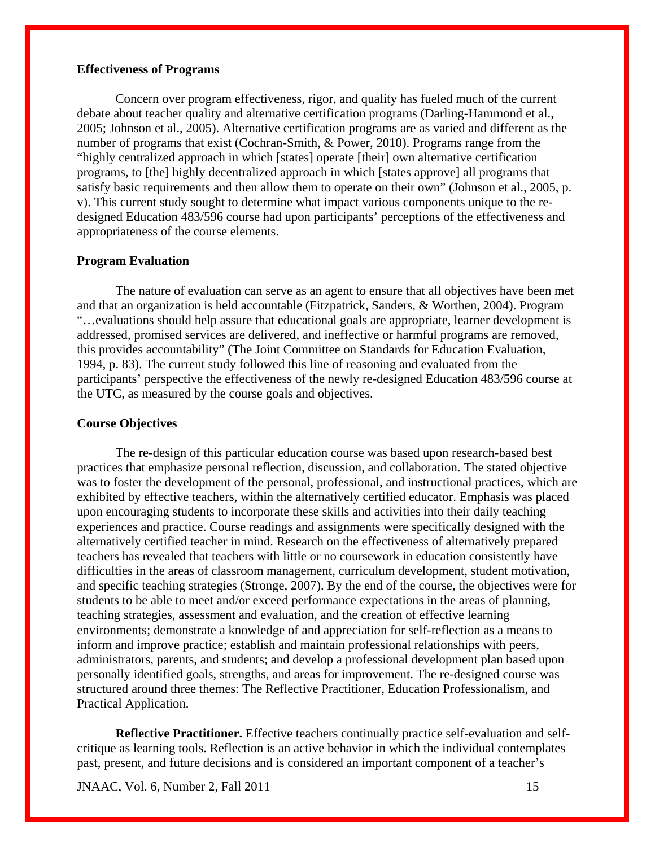## **Effectiveness of Programs**

Concern over program effectiveness, rigor, and quality has fueled much of the current debate about teacher quality and alternative certification programs (Darling-Hammond et al., 2005; Johnson et al., 2005). Alternative certification programs are as varied and different as the number of programs that exist (Cochran-Smith, & Power, 2010). Programs range from the "highly centralized approach in which [states] operate [their] own alternative certification programs, to [the] highly decentralized approach in which [states approve] all programs that satisfy basic requirements and then allow them to operate on their own" (Johnson et al., 2005, p. v). This current study sought to determine what impact various components unique to the redesigned Education 483/596 course had upon participants' perceptions of the effectiveness and appropriateness of the course elements.

### **Program Evaluation**

The nature of evaluation can serve as an agent to ensure that all objectives have been met and that an organization is held accountable (Fitzpatrick, Sanders, & Worthen, 2004). Program "…evaluations should help assure that educational goals are appropriate, learner development is addressed, promised services are delivered, and ineffective or harmful programs are removed, this provides accountability" (The Joint Committee on Standards for Education Evaluation, 1994, p. 83). The current study followed this line of reasoning and evaluated from the participants' perspective the effectiveness of the newly re-designed Education 483/596 course at the UTC, as measured by the course goals and objectives.

# **Course Objectives**

The re-design of this particular education course was based upon research-based best practices that emphasize personal reflection, discussion, and collaboration. The stated objective was to foster the development of the personal, professional, and instructional practices, which are exhibited by effective teachers, within the alternatively certified educator. Emphasis was placed upon encouraging students to incorporate these skills and activities into their daily teaching experiences and practice. Course readings and assignments were specifically designed with the alternatively certified teacher in mind. Research on the effectiveness of alternatively prepared teachers has revealed that teachers with little or no coursework in education consistently have difficulties in the areas of classroom management, curriculum development, student motivation, and specific teaching strategies (Stronge, 2007). By the end of the course, the objectives were for students to be able to meet and/or exceed performance expectations in the areas of planning, teaching strategies, assessment and evaluation, and the creation of effective learning environments; demonstrate a knowledge of and appreciation for self-reflection as a means to inform and improve practice; establish and maintain professional relationships with peers, administrators, parents, and students; and develop a professional development plan based upon personally identified goals, strengths, and areas for improvement. The re-designed course was structured around three themes: The Reflective Practitioner, Education Professionalism, and Practical Application.

**Reflective Practitioner.** Effective teachers continually practice self-evaluation and selfcritique as learning tools. Reflection is an active behavior in which the individual contemplates past, present, and future decisions and is considered an important component of a teacher's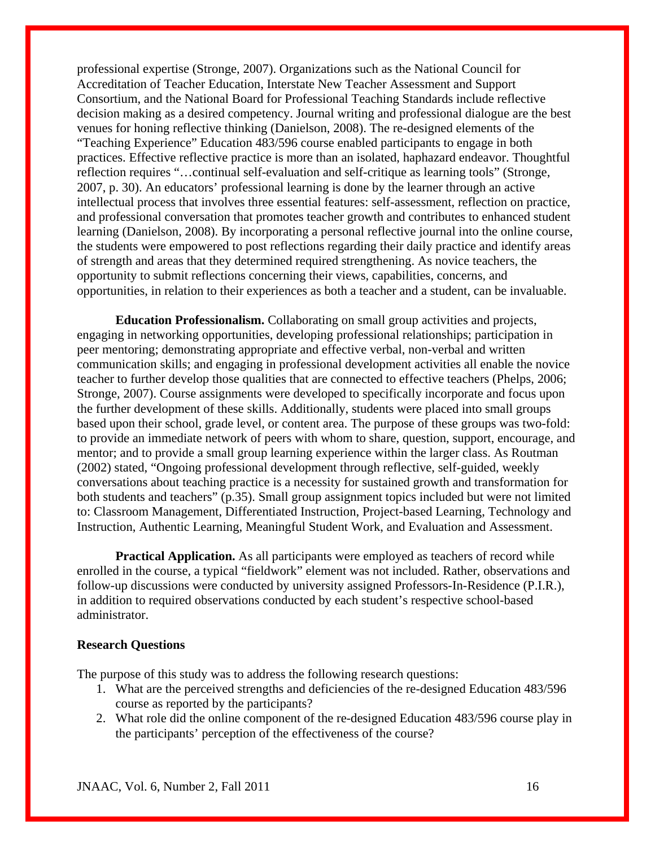professional expertise (Stronge, 2007). Organizations such as the National Council for Accreditation of Teacher Education, Interstate New Teacher Assessment and Support Consortium, and the National Board for Professional Teaching Standards include reflective decision making as a desired competency. Journal writing and professional dialogue are the best venues for honing reflective thinking (Danielson, 2008). The re-designed elements of the "Teaching Experience" Education 483/596 course enabled participants to engage in both practices. Effective reflective practice is more than an isolated, haphazard endeavor. Thoughtful reflection requires "…continual self-evaluation and self-critique as learning tools" (Stronge, 2007, p. 30). An educators' professional learning is done by the learner through an active intellectual process that involves three essential features: self-assessment, reflection on practice, and professional conversation that promotes teacher growth and contributes to enhanced student learning (Danielson, 2008). By incorporating a personal reflective journal into the online course, the students were empowered to post reflections regarding their daily practice and identify areas of strength and areas that they determined required strengthening. As novice teachers, the opportunity to submit reflections concerning their views, capabilities, concerns, and opportunities, in relation to their experiences as both a teacher and a student, can be invaluable.

**Education Professionalism.** Collaborating on small group activities and projects, engaging in networking opportunities, developing professional relationships; participation in peer mentoring; demonstrating appropriate and effective verbal, non-verbal and written communication skills; and engaging in professional development activities all enable the novice teacher to further develop those qualities that are connected to effective teachers (Phelps, 2006; Stronge, 2007). Course assignments were developed to specifically incorporate and focus upon the further development of these skills. Additionally, students were placed into small groups based upon their school, grade level, or content area. The purpose of these groups was two-fold: to provide an immediate network of peers with whom to share, question, support, encourage, and mentor; and to provide a small group learning experience within the larger class. As Routman (2002) stated, "Ongoing professional development through reflective, self-guided, weekly conversations about teaching practice is a necessity for sustained growth and transformation for both students and teachers" (p.35). Small group assignment topics included but were not limited to: Classroom Management, Differentiated Instruction, Project-based Learning, Technology and Instruction, Authentic Learning, Meaningful Student Work, and Evaluation and Assessment.

**Practical Application.** As all participants were employed as teachers of record while enrolled in the course, a typical "fieldwork" element was not included. Rather, observations and follow-up discussions were conducted by university assigned Professors-In-Residence (P.I.R.), in addition to required observations conducted by each student's respective school-based administrator.

### **Research Questions**

The purpose of this study was to address the following research questions:

- 1. What are the perceived strengths and deficiencies of the re-designed Education 483/596 course as reported by the participants?
- 2. What role did the online component of the re-designed Education 483/596 course play in the participants' perception of the effectiveness of the course?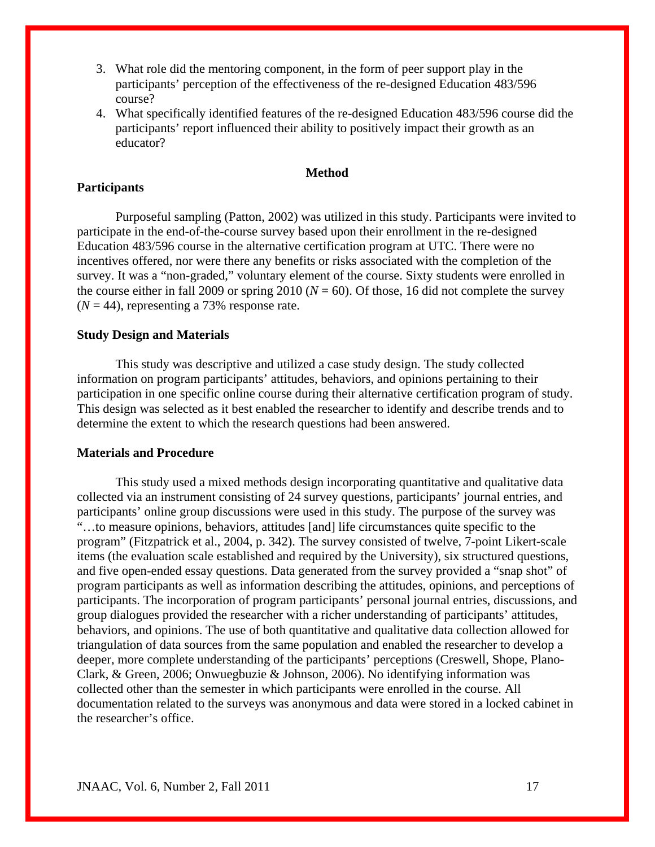- 3. What role did the mentoring component, in the form of peer support play in the participants' perception of the effectiveness of the re-designed Education 483/596 course?
- 4. What specifically identified features of the re-designed Education 483/596 course did the participants' report influenced their ability to positively impact their growth as an educator?

## **Method**

## **Participants**

Purposeful sampling (Patton, 2002) was utilized in this study. Participants were invited to participate in the end-of-the-course survey based upon their enrollment in the re-designed Education 483/596 course in the alternative certification program at UTC. There were no incentives offered, nor were there any benefits or risks associated with the completion of the survey. It was a "non-graded," voluntary element of the course. Sixty students were enrolled in the course either in fall 2009 or spring 2010 ( $N = 60$ ). Of those, 16 did not complete the survey  $(N = 44)$ , representing a 73% response rate.

## **Study Design and Materials**

 This study was descriptive and utilized a case study design. The study collected information on program participants' attitudes, behaviors, and opinions pertaining to their participation in one specific online course during their alternative certification program of study. This design was selected as it best enabled the researcher to identify and describe trends and to determine the extent to which the research questions had been answered.

# **Materials and Procedure**

This study used a mixed methods design incorporating quantitative and qualitative data collected via an instrument consisting of 24 survey questions, participants' journal entries, and participants' online group discussions were used in this study. The purpose of the survey was "…to measure opinions, behaviors, attitudes [and] life circumstances quite specific to the program" (Fitzpatrick et al., 2004, p. 342). The survey consisted of twelve, 7-point Likert-scale items (the evaluation scale established and required by the University), six structured questions, and five open-ended essay questions. Data generated from the survey provided a "snap shot" of program participants as well as information describing the attitudes, opinions, and perceptions of participants. The incorporation of program participants' personal journal entries, discussions, and group dialogues provided the researcher with a richer understanding of participants' attitudes, behaviors, and opinions. The use of both quantitative and qualitative data collection allowed for triangulation of data sources from the same population and enabled the researcher to develop a deeper, more complete understanding of the participants' perceptions (Creswell, Shope, Plano-Clark, & Green, 2006; Onwuegbuzie & Johnson, 2006). No identifying information was collected other than the semester in which participants were enrolled in the course. All documentation related to the surveys was anonymous and data were stored in a locked cabinet in the researcher's office.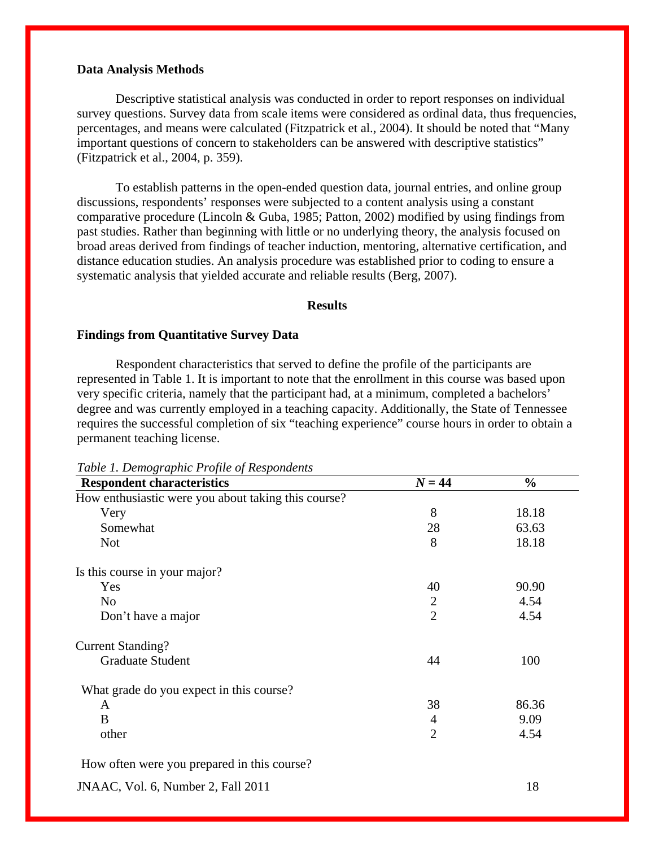## **Data Analysis Methods**

Descriptive statistical analysis was conducted in order to report responses on individual survey questions. Survey data from scale items were considered as ordinal data, thus frequencies, percentages, and means were calculated (Fitzpatrick et al., 2004). It should be noted that "Many important questions of concern to stakeholders can be answered with descriptive statistics" (Fitzpatrick et al., 2004, p. 359).

To establish patterns in the open-ended question data, journal entries, and online group discussions, respondents' responses were subjected to a content analysis using a constant comparative procedure (Lincoln & Guba, 1985; Patton, 2002) modified by using findings from past studies. Rather than beginning with little or no underlying theory, the analysis focused on broad areas derived from findings of teacher induction, mentoring, alternative certification, and distance education studies. An analysis procedure was established prior to coding to ensure a systematic analysis that yielded accurate and reliable results (Berg, 2007).

#### **Results**

# **Findings from Quantitative Survey Data**

 Respondent characteristics that served to define the profile of the participants are represented in Table 1. It is important to note that the enrollment in this course was based upon very specific criteria, namely that the participant had, at a minimum, completed a bachelors' degree and was currently employed in a teaching capacity. Additionally, the State of Tennessee requires the successful completion of six "teaching experience" course hours in order to obtain a permanent teaching license.

| <b>Respondent characteristics</b>                   | $N = 44$       | $\frac{0}{0}$ |
|-----------------------------------------------------|----------------|---------------|
| How enthusiastic were you about taking this course? |                |               |
| Very                                                | 8              | 18.18         |
| Somewhat                                            | 28             | 63.63         |
| <b>Not</b>                                          | 8              | 18.18         |
| Is this course in your major?                       |                |               |
| Yes                                                 | 40             | 90.90         |
| N <sub>o</sub>                                      | $\mathbf{2}$   | 4.54          |
| Don't have a major                                  | $\overline{2}$ | 4.54          |
| <b>Current Standing?</b>                            |                |               |
| <b>Graduate Student</b>                             | 44             | 100           |
| What grade do you expect in this course?            |                |               |
| A                                                   | 38             | 86.36         |
| B                                                   | 4              | 9.09          |
| other                                               | $\overline{2}$ | 4.54          |
| How often were you prepared in this course?         |                |               |
| JNAAC, Vol. 6, Number 2, Fall 2011                  |                | 18            |

*Table 1. Demographic Profile of Respondents*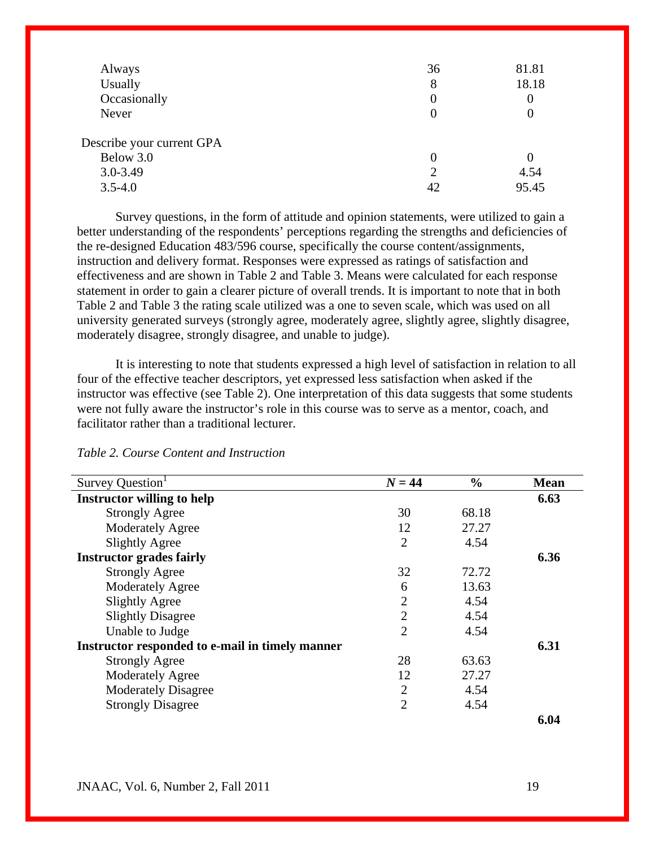| Always                    | 36 | 81.81 |
|---------------------------|----|-------|
| Usually                   | 8  | 18.18 |
| Occasionally              |    | 0     |
| Never                     |    |       |
| Describe your current GPA |    |       |
| Below 3.0                 |    |       |
| $3.0 - 3.49$              | 2  | 4.54  |
| $3.5 - 4.0$               | 42 | 95.45 |

Survey questions, in the form of attitude and opinion statements, were utilized to gain a better understanding of the respondents' perceptions regarding the strengths and deficiencies of the re-designed Education 483/596 course, specifically the course content/assignments, instruction and delivery format. Responses were expressed as ratings of satisfaction and effectiveness and are shown in Table 2 and Table 3. Means were calculated for each response statement in order to gain a clearer picture of overall trends. It is important to note that in both Table 2 and Table 3 the rating scale utilized was a one to seven scale, which was used on all university generated surveys (strongly agree, moderately agree, slightly agree, slightly disagree, moderately disagree, strongly disagree, and unable to judge).

It is interesting to note that students expressed a high level of satisfaction in relation to all four of the effective teacher descriptors, yet expressed less satisfaction when asked if the instructor was effective (see Table 2). One interpretation of this data suggests that some students were not fully aware the instructor's role in this course was to serve as a mentor, coach, and facilitator rather than a traditional lecturer.

| Survey Question                                 | $N = 44$       | $\frac{6}{6}$ | <b>Mean</b> |
|-------------------------------------------------|----------------|---------------|-------------|
| <b>Instructor willing to help</b>               |                |               | 6.63        |
| <b>Strongly Agree</b>                           | 30             | 68.18         |             |
| <b>Moderately Agree</b>                         | 12             | 27.27         |             |
| <b>Slightly Agree</b>                           | $\overline{2}$ | 4.54          |             |
| <b>Instructor grades fairly</b>                 |                |               | 6.36        |
| <b>Strongly Agree</b>                           | 32             | 72.72         |             |
| <b>Moderately Agree</b>                         | 6              | 13.63         |             |
| <b>Slightly Agree</b>                           | $\overline{2}$ | 4.54          |             |
| <b>Slightly Disagree</b>                        | $\overline{2}$ | 4.54          |             |
| Unable to Judge                                 | $\overline{2}$ | 4.54          |             |
| Instructor responded to e-mail in timely manner |                |               | 6.31        |
| <b>Strongly Agree</b>                           | 28             | 63.63         |             |
| <b>Moderately Agree</b>                         | 12             | 27.27         |             |
| <b>Moderately Disagree</b>                      | $\overline{2}$ | 4.54          |             |
| <b>Strongly Disagree</b>                        | $\overline{2}$ | 4.54          |             |
|                                                 |                |               | 6.04        |

*Table 2. Course Content and Instruction*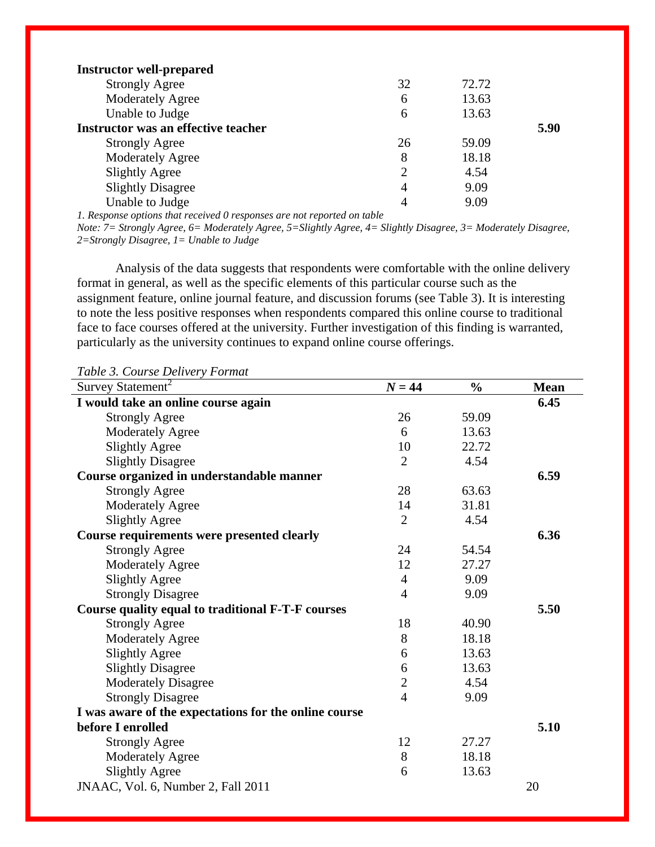| <b>Instructor well-prepared</b>     |                |       |      |
|-------------------------------------|----------------|-------|------|
| <b>Strongly Agree</b>               | 32             | 72.72 |      |
| <b>Moderately Agree</b>             | 6              | 13.63 |      |
| Unable to Judge                     | 6              | 13.63 |      |
| Instructor was an effective teacher |                |       | 5.90 |
| <b>Strongly Agree</b>               | 26             | 59.09 |      |
| <b>Moderately Agree</b>             | 8              | 18.18 |      |
| <b>Slightly Agree</b>               | $\overline{2}$ | 4.54  |      |
| <b>Slightly Disagree</b>            | 4              | 9.09  |      |
| Unable to Judge                     | 4              | 9.09  |      |
|                                     |                |       |      |

*1. Response options that received 0 responses are not reported on table* 

*Note: 7= Strongly Agree, 6= Moderately Agree, 5=Slightly Agree, 4= Slightly Disagree, 3= Moderately Disagree, 2=Strongly Disagree, 1= Unable to Judge* 

Analysis of the data suggests that respondents were comfortable with the online delivery format in general, as well as the specific elements of this particular course such as the assignment feature, online journal feature, and discussion forums (see Table 3). It is interesting to note the less positive responses when respondents compared this online course to traditional face to face courses offered at the university. Further investigation of this finding is warranted, particularly as the university continues to expand online course offerings.

*Table 3. Course Delivery Format* 

| Survey Statement <sup>2</sup>                         | $N = 44$       | $\frac{0}{0}$ | <b>Mean</b> |
|-------------------------------------------------------|----------------|---------------|-------------|
| I would take an online course again                   |                |               | 6.45        |
| <b>Strongly Agree</b>                                 | 26             | 59.09         |             |
| <b>Moderately Agree</b>                               | 6              | 13.63         |             |
| <b>Slightly Agree</b>                                 | 10             | 22.72         |             |
| <b>Slightly Disagree</b>                              | $\overline{2}$ | 4.54          |             |
| Course organized in understandable manner             |                |               | 6.59        |
| <b>Strongly Agree</b>                                 | 28             | 63.63         |             |
| <b>Moderately Agree</b>                               | 14             | 31.81         |             |
| <b>Slightly Agree</b>                                 | $\overline{2}$ | 4.54          |             |
| Course requirements were presented clearly            |                |               | 6.36        |
| <b>Strongly Agree</b>                                 | 24             | 54.54         |             |
| <b>Moderately Agree</b>                               | 12             | 27.27         |             |
| <b>Slightly Agree</b>                                 | $\overline{4}$ | 9.09          |             |
| <b>Strongly Disagree</b>                              | $\overline{4}$ | 9.09          |             |
| Course quality equal to traditional F-T-F courses     |                |               | 5.50        |
| <b>Strongly Agree</b>                                 | 18             | 40.90         |             |
| <b>Moderately Agree</b>                               | 8              | 18.18         |             |
| <b>Slightly Agree</b>                                 | 6              | 13.63         |             |
| <b>Slightly Disagree</b>                              | 6              | 13.63         |             |
| <b>Moderately Disagree</b>                            | $\overline{2}$ | 4.54          |             |
| <b>Strongly Disagree</b>                              | $\overline{4}$ | 9.09          |             |
| I was aware of the expectations for the online course |                |               |             |
| before I enrolled                                     |                |               | 5.10        |
| <b>Strongly Agree</b>                                 | 12             | 27.27         |             |
| <b>Moderately Agree</b>                               | 8              | 18.18         |             |
| <b>Slightly Agree</b>                                 | 6              | 13.63         |             |
| JNAAC, Vol. 6, Number 2, Fall 2011                    |                |               | 20          |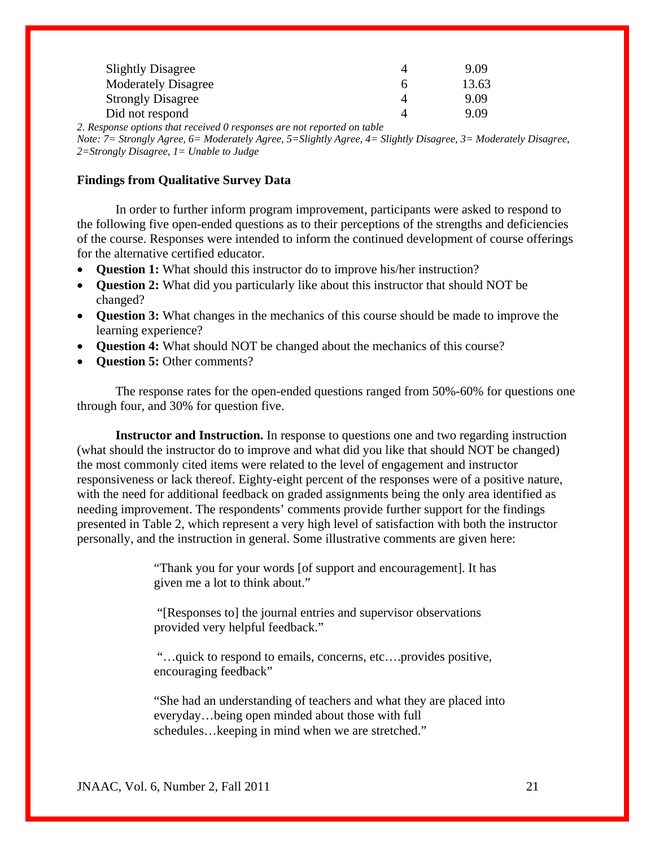| <b>Slightly Disagree</b>   | 9.09  |
|----------------------------|-------|
| <b>Moderately Disagree</b> | 13.63 |
| <b>Strongly Disagree</b>   | 9.09  |
| Did not respond            | 9.09  |

*2. Response options that received 0 responses are not reported on table* 

*Note: 7= Strongly Agree, 6= Moderately Agree, 5=Slightly Agree, 4= Slightly Disagree, 3= Moderately Disagree, 2=Strongly Disagree, 1= Unable to Judge* 

## **Findings from Qualitative Survey Data**

In order to further inform program improvement, participants were asked to respond to the following five open-ended questions as to their perceptions of the strengths and deficiencies of the course. Responses were intended to inform the continued development of course offerings for the alternative certified educator.

- **Question 1:** What should this instructor do to improve his/her instruction?
- **Question 2:** What did you particularly like about this instructor that should NOT be changed?
- **Question 3:** What changes in the mechanics of this course should be made to improve the learning experience?
- **Question 4:** What should NOT be changed about the mechanics of this course?
- **Question 5:** Other comments?

The response rates for the open-ended questions ranged from 50%-60% for questions one through four, and 30% for question five.

**Instructor and Instruction.** In response to questions one and two regarding instruction (what should the instructor do to improve and what did you like that should NOT be changed) the most commonly cited items were related to the level of engagement and instructor responsiveness or lack thereof. Eighty-eight percent of the responses were of a positive nature, with the need for additional feedback on graded assignments being the only area identified as needing improvement. The respondents' comments provide further support for the findings presented in Table 2, which represent a very high level of satisfaction with both the instructor personally, and the instruction in general. Some illustrative comments are given here:

> "Thank you for your words [of support and encouragement]. It has given me a lot to think about."

 "[Responses to] the journal entries and supervisor observations provided very helpful feedback."

 "…quick to respond to emails, concerns, etc….provides positive, encouraging feedback"

"She had an understanding of teachers and what they are placed into everyday…being open minded about those with full schedules…keeping in mind when we are stretched."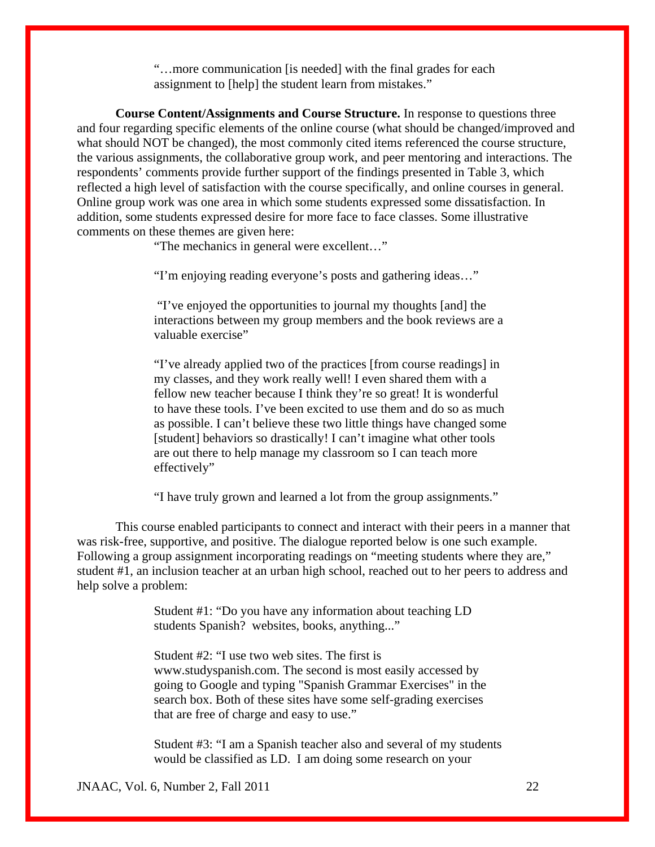"…more communication [is needed] with the final grades for each assignment to [help] the student learn from mistakes."

**Course Content/Assignments and Course Structure.** In response to questions three and four regarding specific elements of the online course (what should be changed/improved and what should NOT be changed), the most commonly cited items referenced the course structure, the various assignments, the collaborative group work, and peer mentoring and interactions. The respondents' comments provide further support of the findings presented in Table 3, which reflected a high level of satisfaction with the course specifically, and online courses in general. Online group work was one area in which some students expressed some dissatisfaction. In addition, some students expressed desire for more face to face classes. Some illustrative comments on these themes are given here:

"The mechanics in general were excellent…"

"I'm enjoying reading everyone's posts and gathering ideas…"

 "I've enjoyed the opportunities to journal my thoughts [and] the interactions between my group members and the book reviews are a valuable exercise"

"I've already applied two of the practices [from course readings] in my classes, and they work really well! I even shared them with a fellow new teacher because I think they're so great! It is wonderful to have these tools. I've been excited to use them and do so as much as possible. I can't believe these two little things have changed some [student] behaviors so drastically! I can't imagine what other tools are out there to help manage my classroom so I can teach more effectively"

"I have truly grown and learned a lot from the group assignments."

 This course enabled participants to connect and interact with their peers in a manner that was risk-free, supportive, and positive. The dialogue reported below is one such example. Following a group assignment incorporating readings on "meeting students where they are," student #1, an inclusion teacher at an urban high school, reached out to her peers to address and help solve a problem:

> Student #1: "Do you have any information about teaching LD students Spanish? websites, books, anything..."

Student  $\#2$ : "I use two web sites. The first is [www.studyspanish.com.](http://www.studyspanish.com/) The second is most easily accessed by going to Google and typing "Spanish Grammar Exercises" in the search box. Both of these sites have some self-grading exercises that are free of charge and easy to use."

Student #3: "I am a Spanish teacher also and several of my students would be classified as LD. I am doing some research on your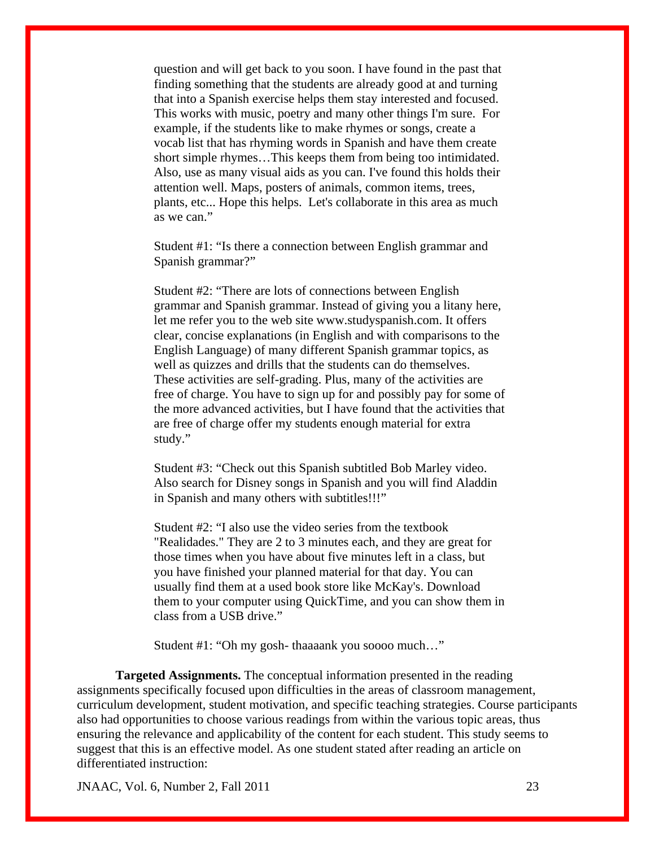question and will get back to you soon. I have found in the past that finding something that the students are already good at and turning that into a Spanish exercise helps them stay interested and focused. This works with music, poetry and many other things I'm sure. For example, if the students like to make rhymes or songs, create a vocab list that has rhyming words in Spanish and have them create short simple rhymes…This keeps them from being too intimidated. Also, use as many visual aids as you can. I've found this holds their attention well. Maps, posters of animals, common items, trees, plants, etc... Hope this helps. Let's collaborate in this area as much as we can."

Student #1: "Is there a connection between English grammar and Spanish grammar?"

Student #2: "There are lots of connections between English grammar and Spanish grammar. Instead of giving you a litany here, let me refer you to the web site [www.studyspanish.com.](http://www.studyspanish.com/) It offers clear, concise explanations (in English and with comparisons to the English Language) of many different Spanish grammar topics, as well as quizzes and drills that the students can do themselves. These activities are self-grading. Plus, many of the activities are free of charge. You have to sign up for and possibly pay for some of the more advanced activities, but I have found that the activities that are free of charge offer my students enough material for extra study."

Student #3: "Check out this Spanish subtitled Bob Marley video. Also search for Disney songs in Spanish and you will find Aladdin in Spanish and many others with subtitles!!!"

Student #2: "I also use the video series from the textbook "Realidades." They are 2 to 3 minutes each, and they are great for those times when you have about five minutes left in a class, but you have finished your planned material for that day. You can usually find them at a used book store like McKay's. Download them to your computer using QuickTime, and you can show them in class from a USB drive."

Student #1: "Oh my gosh- thaaaank you soooo much…"

**Targeted Assignments.** The conceptual information presented in the reading assignments specifically focused upon difficulties in the areas of classroom management, curriculum development, student motivation, and specific teaching strategies. Course participants also had opportunities to choose various readings from within the various topic areas, thus ensuring the relevance and applicability of the content for each student. This study seems to suggest that this is an effective model. As one student stated after reading an article on differentiated instruction: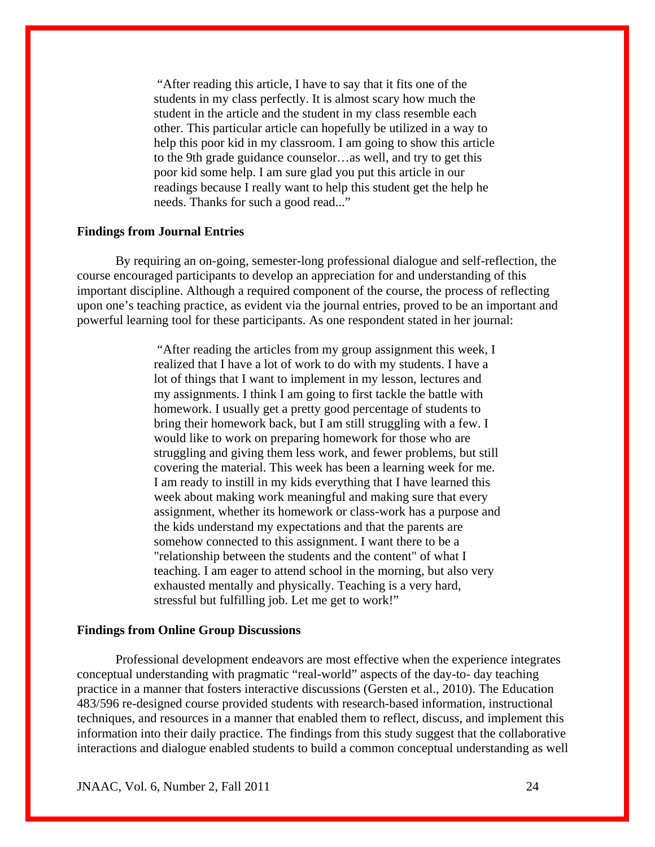"After reading this article, I have to say that it fits one of the students in my class perfectly. It is almost scary how much the student in the article and the student in my class resemble each other. This particular article can hopefully be utilized in a way to help this poor kid in my classroom. I am going to show this article to the 9th grade guidance counselor…as well, and try to get this poor kid some help. I am sure glad you put this article in our readings because I really want to help this student get the help he needs. Thanks for such a good read..."

## **Findings from Journal Entries**

By requiring an on-going, semester-long professional dialogue and self-reflection, the course encouraged participants to develop an appreciation for and understanding of this important discipline. Although a required component of the course, the process of reflecting upon one's teaching practice, as evident via the journal entries, proved to be an important and powerful learning tool for these participants. As one respondent stated in her journal:

> "After reading the articles from my group assignment this week, I realized that I have a lot of work to do with my students. I have a lot of things that I want to implement in my lesson, lectures and my assignments. I think I am going to first tackle the battle with homework. I usually get a pretty good percentage of students to bring their homework back, but I am still struggling with a few. I would like to work on preparing homework for those who are struggling and giving them less work, and fewer problems, but still covering the material. This week has been a learning week for me. I am ready to instill in my kids everything that I have learned this week about making work meaningful and making sure that every assignment, whether its homework or class-work has a purpose and the kids understand my expectations and that the parents are somehow connected to this assignment. I want there to be a "relationship between the students and the content" of what I teaching. I am eager to attend school in the morning, but also very exhausted mentally and physically. Teaching is a very hard, stressful but fulfilling job. Let me get to work!"

#### **Findings from Online Group Discussions**

Professional development endeavors are most effective when the experience integrates conceptual understanding with pragmatic "real-world" aspects of the day-to- day teaching practice in a manner that fosters interactive discussions (Gersten et al., 2010). The Education 483/596 re-designed course provided students with research-based information, instructional techniques, and resources in a manner that enabled them to reflect, discuss, and implement this information into their daily practice. The findings from this study suggest that the collaborative interactions and dialogue enabled students to build a common conceptual understanding as well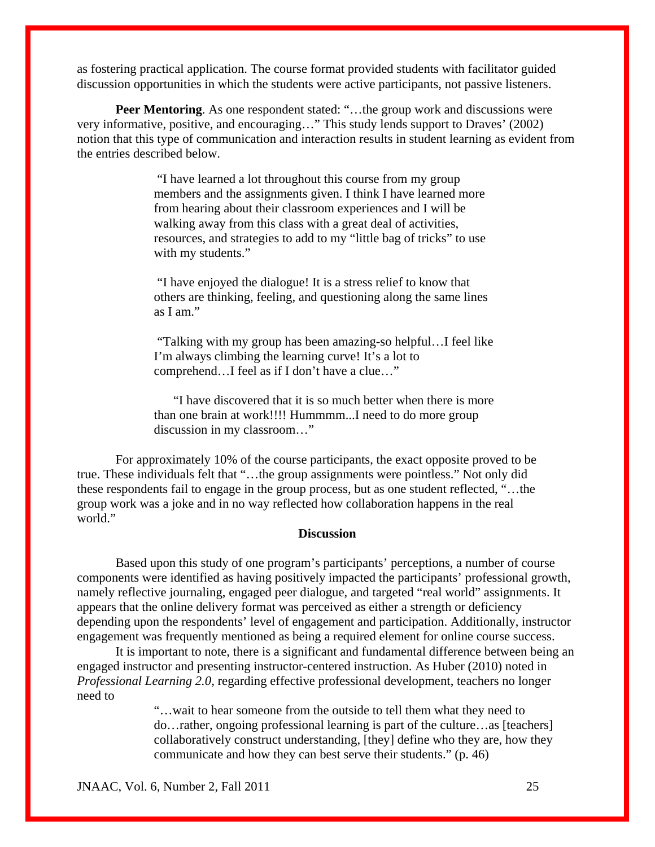as fostering practical application. The course format provided students with facilitator guided discussion opportunities in which the students were active participants, not passive listeners.

**Peer Mentoring.** As one respondent stated: "...the group work and discussions were very informative, positive, and encouraging…" This study lends support to Draves' (2002) notion that this type of communication and interaction results in student learning as evident from the entries described below.

> "I have learned a lot throughout this course from my group members and the assignments given. I think I have learned more from hearing about their classroom experiences and I will be walking away from this class with a great deal of activities, resources, and strategies to add to my "little bag of tricks" to use with my students."

> "I have enjoyed the dialogue! It is a stress relief to know that others are thinking, feeling, and questioning along the same lines as I am."

 "Talking with my group has been amazing-so helpful…I feel like I'm always climbing the learning curve! It's a lot to comprehend…I feel as if I don't have a clue…"

"I have discovered that it is so much better when there is more than one brain at work!!!! Hummmm...I need to do more group discussion in my classroom…"

For approximately 10% of the course participants, the exact opposite proved to be true. These individuals felt that "…the group assignments were pointless." Not only did these respondents fail to engage in the group process, but as one student reflected, "…the group work was a joke and in no way reflected how collaboration happens in the real world."

## **Discussion**

Based upon this study of one program's participants' perceptions, a number of course components were identified as having positively impacted the participants' professional growth, namely reflective journaling, engaged peer dialogue, and targeted "real world" assignments. It appears that the online delivery format was perceived as either a strength or deficiency depending upon the respondents' level of engagement and participation. Additionally, instructor engagement was frequently mentioned as being a required element for online course success.

 It is important to note, there is a significant and fundamental difference between being an engaged instructor and presenting instructor-centered instruction. As Huber (2010) noted in *Professional Learning 2.0,* regarding effective professional development, teachers no longer need to

> "…wait to hear someone from the outside to tell them what they need to do…rather, ongoing professional learning is part of the culture…as [teachers] collaboratively construct understanding, [they] define who they are, how they communicate and how they can best serve their students." (p. 46)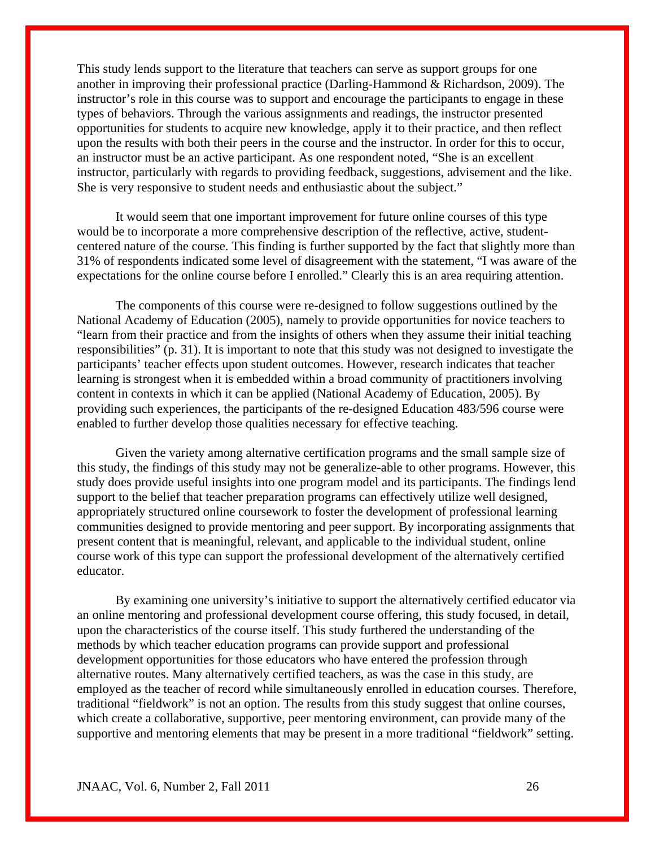This study lends support to the literature that teachers can serve as support groups for one another in improving their professional practice (Darling-Hammond & Richardson, 2009). The instructor's role in this course was to support and encourage the participants to engage in these types of behaviors. Through the various assignments and readings, the instructor presented opportunities for students to acquire new knowledge, apply it to their practice, and then reflect upon the results with both their peers in the course and the instructor. In order for this to occur, an instructor must be an active participant. As one respondent noted, "She is an excellent instructor, particularly with regards to providing feedback, suggestions, advisement and the like. She is very responsive to student needs and enthusiastic about the subject."

 It would seem that one important improvement for future online courses of this type would be to incorporate a more comprehensive description of the reflective, active, studentcentered nature of the course. This finding is further supported by the fact that slightly more than 31% of respondents indicated some level of disagreement with the statement, "I was aware of the expectations for the online course before I enrolled." Clearly this is an area requiring attention.

The components of this course were re-designed to follow suggestions outlined by the National Academy of Education (2005), namely to provide opportunities for novice teachers to "learn from their practice and from the insights of others when they assume their initial teaching responsibilities" (p. 31). It is important to note that this study was not designed to investigate the participants' teacher effects upon student outcomes. However, research indicates that teacher learning is strongest when it is embedded within a broad community of practitioners involving content in contexts in which it can be applied (National Academy of Education, 2005). By providing such experiences, the participants of the re-designed Education 483/596 course were enabled to further develop those qualities necessary for effective teaching.

 Given the variety among alternative certification programs and the small sample size of this study, the findings of this study may not be generalize-able to other programs. However, this study does provide useful insights into one program model and its participants. The findings lend support to the belief that teacher preparation programs can effectively utilize well designed, appropriately structured online coursework to foster the development of professional learning communities designed to provide mentoring and peer support. By incorporating assignments that present content that is meaningful, relevant, and applicable to the individual student, online course work of this type can support the professional development of the alternatively certified educator.

 By examining one university's initiative to support the alternatively certified educator via an online mentoring and professional development course offering, this study focused, in detail, upon the characteristics of the course itself. This study furthered the understanding of the methods by which teacher education programs can provide support and professional development opportunities for those educators who have entered the profession through alternative routes. Many alternatively certified teachers, as was the case in this study, are employed as the teacher of record while simultaneously enrolled in education courses. Therefore, traditional "fieldwork" is not an option. The results from this study suggest that online courses, which create a collaborative, supportive, peer mentoring environment, can provide many of the supportive and mentoring elements that may be present in a more traditional "fieldwork" setting.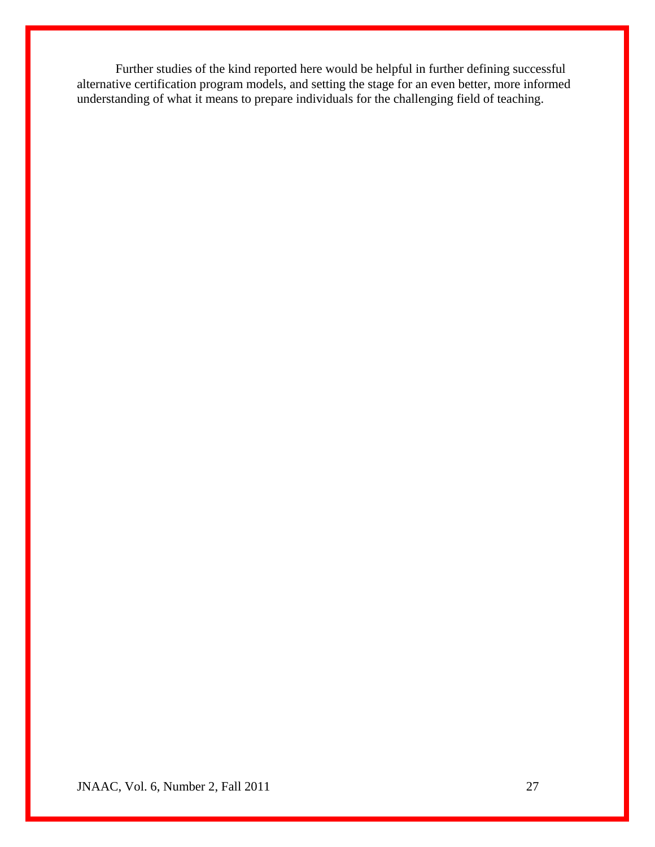Further studies of the kind reported here would be helpful in further defining successful alternative certification program models, and setting the stage for an even better, more informed understanding of what it means to prepare individuals for the challenging field of teaching.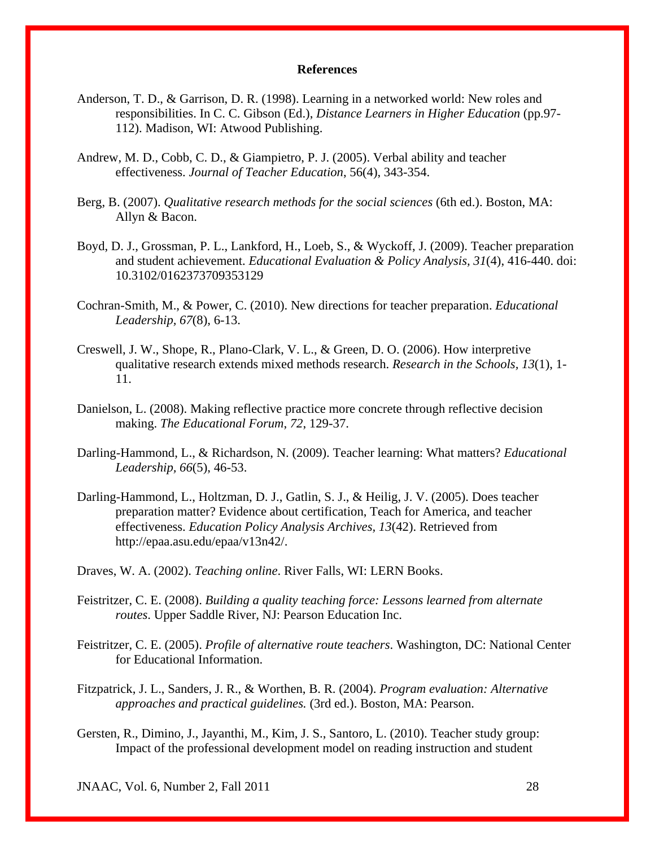#### **References**

- Anderson, T. D., & Garrison, D. R. (1998). Learning in a networked world: New roles and responsibilities. In C. C. Gibson (Ed.), *Distance Learners in Higher Education* (pp.97- 112). Madison, WI: Atwood Publishing.
- Andrew, M. D., Cobb, C. D., & Giampietro, P. J. (2005). Verbal ability and teacher effectiveness. *Journal of Teacher Education*, 56(4), 343-354.
- Berg, B. (2007). *Qualitative research methods for the social sciences* (6th ed.). Boston, MA: Allyn & Bacon.
- Boyd, D. J., Grossman, P. L., Lankford, H., Loeb, S., & Wyckoff, J. (2009). Teacher preparation and student achievement. *Educational Evaluation & Policy Analysis, 31*(4), 416-440. doi: 10.3102/0162373709353129
- Cochran-Smith, M., & Power, C. (2010). New directions for teacher preparation. *Educational Leadership, 67*(8), 6-13.
- Creswell, J. W., Shope, R., Plano-Clark, V. L., & Green, D. O. (2006). How interpretive qualitative research extends mixed methods research. *Research in the Schools, 13*(1), 1- 11.
- Danielson, L. (2008). Making reflective practice more concrete through reflective decision making. *The Educational Forum*, *72*, 129-37.
- Darling-Hammond, L., & Richardson, N. (2009). Teacher learning: What matters? *Educational Leadership, 66*(5), 46-53.
- Darling-Hammond, L., Holtzman, D. J., Gatlin, S. J., & Heilig, J. V. (2005). Does teacher preparation matter? Evidence about certification, Teach for America, and teacher effectiveness. *Education Policy Analysis Archives, 13*(42). Retrieved from [http://epaa.asu.edu/epaa/v13n42/.](http://epaa.asu.edu/epaa/v13n42/)
- Draves, W. A. (2002). *Teaching online*. River Falls, WI: LERN Books.
- Feistritzer, C. E. (2008). *Building a quality teaching force: Lessons learned from alternate routes*. Upper Saddle River, NJ: Pearson Education Inc.
- Feistritzer, C. E. (2005). *Profile of alternative route teachers*. Washington, DC: National Center for Educational Information.
- Fitzpatrick, J. L., Sanders, J. R., & Worthen, B. R. (2004). *Program evaluation: Alternative approaches and practical guidelines.* (3rd ed.). Boston, MA: Pearson.
- Gersten, R., Dimino, J., Jayanthi, M., Kim, J. S., Santoro, L. (2010). Teacher study group: Impact of the professional development model on reading instruction and student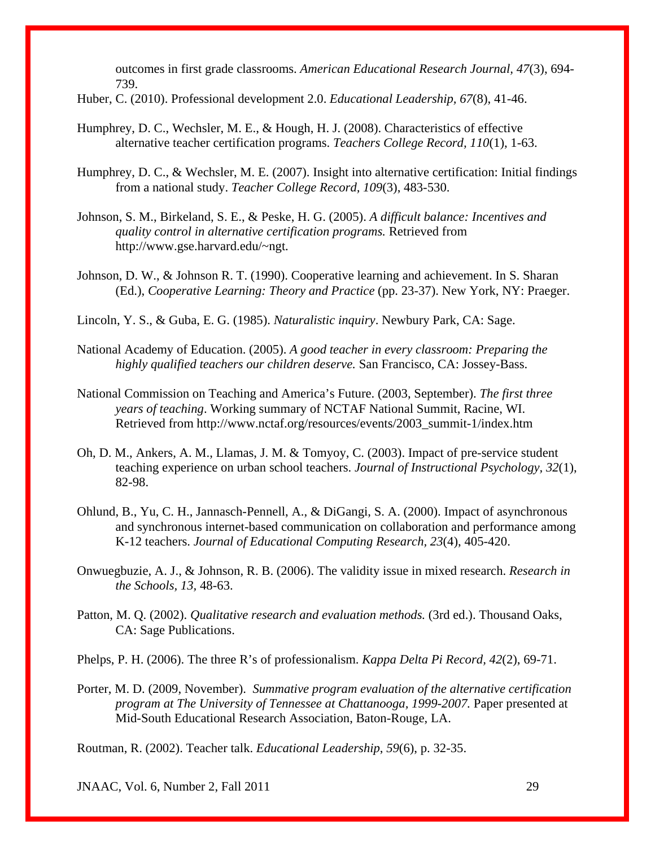outcomes in first grade classrooms. *American Educational Research Journal, 47*(3), 694- 739.

- Huber, C. (2010). Professional development 2.0. *Educational Leadership, 67*(8), 41-46.
- Humphrey, D. C., Wechsler, M. E., & Hough, H. J. (2008). Characteristics of effective alternative teacher certification programs. *Teachers College Record, 110*(1), 1-63.
- Humphrey, D. C., & Wechsler, M. E. (2007). Insight into alternative certification: Initial findings from a national study. *Teacher College Record, 109*(3), 483-530.
- Johnson, S. M., Birkeland, S. E., & Peske, H. G. (2005). *A difficult balance: Incentives and quality control in alternative certification programs.* Retrieved from [http://www.gse.harvard.edu/~ngt.](http://www.gse.harvard.edu/%7Engt)
- Johnson, D. W., & Johnson R. T. (1990). Cooperative learning and achievement. In S. Sharan (Ed.), *Cooperative Learning: Theory and Practice* (pp. 23-37). New York, NY: Praeger.
- Lincoln, Y. S., & Guba, E. G. (1985). *Naturalistic inquiry*. Newbury Park, CA: Sage.
- National Academy of Education. (2005). *A good teacher in every classroom: Preparing the highly qualified teachers our children deserve.* San Francisco, CA: Jossey-Bass.
- National Commission on Teaching and America's Future. (2003, September). *The first three years of teaching*. Working summary of NCTAF National Summit, Racine, WI. Retrieved from [http://www.nctaf.org/resources/events/2003\\_summit-1/index.htm](http://www.nctaf.org/resources/events/2003_summit-1/index.htm)
- Oh, D. M., Ankers, A. M., Llamas, J. M. & Tomyoy, C. (2003). Impact of pre-service student teaching experience on urban school teachers. *Journal of Instructional Psychology, 32*(1), 82-98.
- Ohlund, B., Yu, C. H., Jannasch-Pennell, A., & DiGangi, S. A. (2000). Impact of asynchronous and synchronous internet-based communication on collaboration and performance among K-12 teachers. *Journal of Educational Computing Research, 23*(4), 405-420.
- Onwuegbuzie, A. J., & Johnson, R. B. (2006). The validity issue in mixed research. *Research in the Schools, 13,* 48-63.
- Patton, M. Q. (2002). *Qualitative research and evaluation methods.* (3rd ed.). Thousand Oaks, CA: Sage Publications.
- Phelps, P. H. (2006). The three R's of professionalism. *Kappa Delta Pi Record, 42*(2), 69-71.
- Porter, M. D. (2009, November). *Summative program evaluation of the alternative certification program at The University of Tennessee at Chattanooga, 1999-2007.* Paper presented at Mid-South Educational Research Association, Baton-Rouge, LA.

Routman, R. (2002). [Teacher talk.](javascript:%20void%200) *Educational Leadership*, *59*(6), p. 32-35.